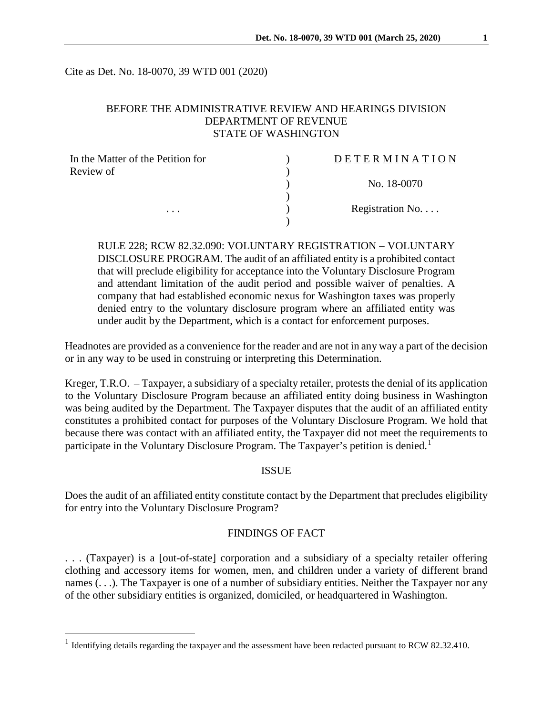Cite as Det. No. 18-0070, 39 WTD 001 (2020)

# BEFORE THE ADMINISTRATIVE REVIEW AND HEARINGS DIVISION DEPARTMENT OF REVENUE STATE OF WASHINGTON

| In the Matter of the Petition for | DETERMINATION            |
|-----------------------------------|--------------------------|
| Review of<br>$\cdots$             |                          |
|                                   | No. 18-0070              |
|                                   | Registration No. $\dots$ |
|                                   |                          |

RULE 228; RCW 82.32.090: VOLUNTARY REGISTRATION – VOLUNTARY DISCLOSURE PROGRAM. The audit of an affiliated entity is a prohibited contact that will preclude eligibility for acceptance into the Voluntary Disclosure Program and attendant limitation of the audit period and possible waiver of penalties. A company that had established economic nexus for Washington taxes was properly denied entry to the voluntary disclosure program where an affiliated entity was under audit by the Department, which is a contact for enforcement purposes.

Headnotes are provided as a convenience for the reader and are not in any way a part of the decision or in any way to be used in construing or interpreting this Determination.

Kreger, T.R.O. – Taxpayer, a subsidiary of a specialty retailer, protests the denial of its application to the Voluntary Disclosure Program because an affiliated entity doing business in Washington was being audited by the Department. The Taxpayer disputes that the audit of an affiliated entity constitutes a prohibited contact for purposes of the Voluntary Disclosure Program. We hold that because there was contact with an affiliated entity, the Taxpayer did not meet the requirements to participate in the Voluntary Disclosure Program. The Taxpayer's petition is denied.<sup>[1](#page-0-0)</sup>

### **ISSUE**

Does the audit of an affiliated entity constitute contact by the Department that precludes eligibility for entry into the Voluntary Disclosure Program?

# FINDINGS OF FACT

. . . (Taxpayer) is a [out-of-state] corporation and a subsidiary of a specialty retailer offering clothing and accessory items for women, men, and children under a variety of different brand names (. . .). The Taxpayer is one of a number of subsidiary entities. Neither the Taxpayer nor any of the other subsidiary entities is organized, domiciled, or headquartered in Washington.

<span id="page-0-0"></span><sup>&</sup>lt;sup>1</sup> Identifying details regarding the taxpayer and the assessment have been redacted pursuant to RCW 82.32.410.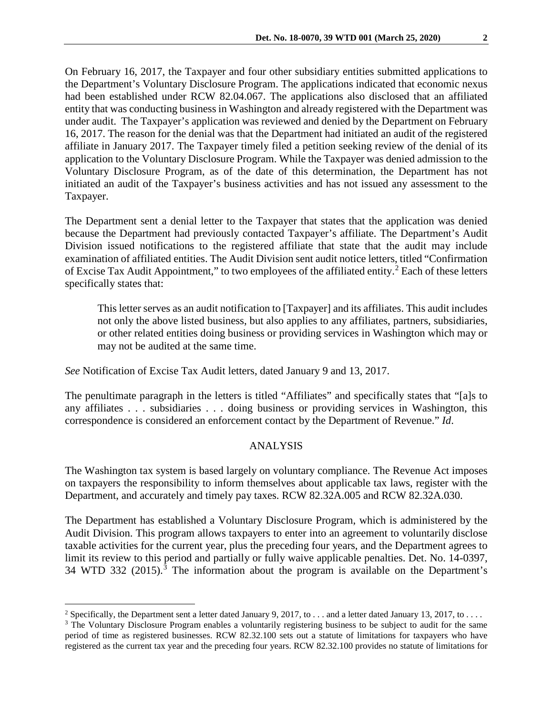On February 16, 2017, the Taxpayer and four other subsidiary entities submitted applications to the Department's Voluntary Disclosure Program. The applications indicated that economic nexus had been established under RCW 82.04.067. The applications also disclosed that an affiliated entity that was conducting business in Washington and already registered with the Department was under audit. The Taxpayer's application was reviewed and denied by the Department on February 16, 2017. The reason for the denial was that the Department had initiated an audit of the registered affiliate in January 2017. The Taxpayer timely filed a petition seeking review of the denial of its application to the Voluntary Disclosure Program. While the Taxpayer was denied admission to the Voluntary Disclosure Program, as of the date of this determination, the Department has not initiated an audit of the Taxpayer's business activities and has not issued any assessment to the Taxpayer.

The Department sent a denial letter to the Taxpayer that states that the application was denied because the Department had previously contacted Taxpayer's affiliate. The Department's Audit Division issued notifications to the registered affiliate that state that the audit may include examination of affiliated entities. The Audit Division sent audit notice letters, titled "Confirmation of Excise Tax Audit Appointment," to two employees of the affiliated entity.<sup>[2](#page-1-0)</sup> Each of these letters specifically states that:

This letter serves as an audit notification to [Taxpayer] and its affiliates. This audit includes not only the above listed business, but also applies to any affiliates, partners, subsidiaries, or other related entities doing business or providing services in Washington which may or may not be audited at the same time.

*See* Notification of Excise Tax Audit letters, dated January 9 and 13, 2017.

The penultimate paragraph in the letters is titled "Affiliates" and specifically states that "[a]s to any affiliates . . . subsidiaries . . . doing business or providing services in Washington, this correspondence is considered an enforcement contact by the Department of Revenue." *Id*.

# ANALYSIS

The Washington tax system is based largely on voluntary compliance. The Revenue Act imposes on taxpayers the responsibility to inform themselves about applicable tax laws, register with the Department, and accurately and timely pay taxes. RCW 82.32A.005 and RCW 82.32A.030.

The Department has established a Voluntary Disclosure Program, which is administered by the Audit Division. This program allows taxpayers to enter into an agreement to voluntarily disclose taxable activities for the current year, plus the preceding four years, and the Department agrees to limit its review to this period and partially or fully waive applicable penalties. Det. No. 14-0397, [3](#page-1-1)4 WTD 332 (2015).<sup>3</sup> The information about the program is available on the Department's

<span id="page-1-0"></span><sup>&</sup>lt;sup>2</sup> Specifically, the Department sent a letter dated January 9, 2017, to  $\dots$  and a letter dated January 13, 2017, to  $\dots$ 

<span id="page-1-1"></span><sup>&</sup>lt;sup>3</sup> The Voluntary Disclosure Program enables a voluntarily registering business to be subject to audit for the same period of time as registered businesses. RCW 82.32.100 sets out a statute of limitations for taxpayers who have registered as the current tax year and the preceding four years. RCW 82.32.100 provides no statute of limitations for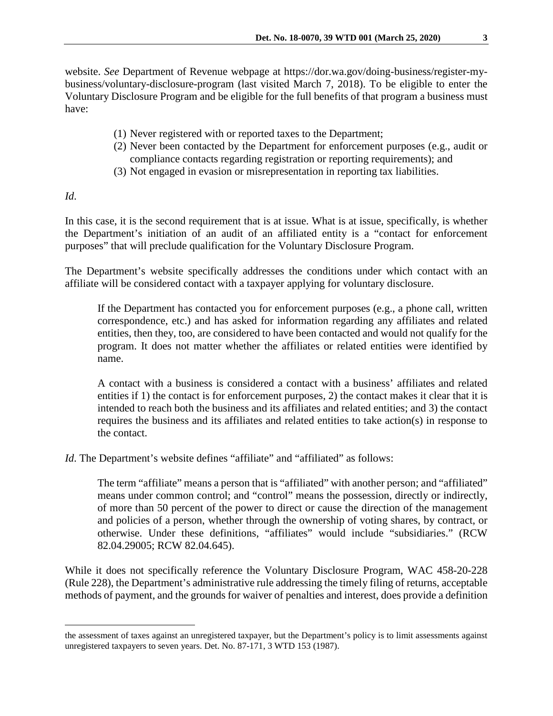website. *See* Department of Revenue webpage at https://dor.wa.gov/doing-business/register-mybusiness/voluntary-disclosure-program (last visited March 7, 2018). To be eligible to enter the Voluntary Disclosure Program and be eligible for the full benefits of that program a business must have:

- (1) Never registered with or reported taxes to the Department;
- (2) Never been contacted by the Department for enforcement purposes (e.g., audit or compliance contacts regarding registration or reporting requirements); and
- (3) Not engaged in evasion or misrepresentation in reporting tax liabilities.

*Id*.

 $\overline{a}$ 

In this case, it is the second requirement that is at issue. What is at issue, specifically, is whether the Department's initiation of an audit of an affiliated entity is a "contact for enforcement purposes" that will preclude qualification for the Voluntary Disclosure Program.

The Department's website specifically addresses the conditions under which contact with an affiliate will be considered contact with a taxpayer applying for voluntary disclosure.

If the Department has contacted you for enforcement purposes (e.g., a phone call, written correspondence, etc.) and has asked for information regarding any affiliates and related entities, then they, too, are considered to have been contacted and would not qualify for the program. It does not matter whether the affiliates or related entities were identified by name.

A contact with a business is considered a contact with a business' affiliates and related entities if 1) the contact is for enforcement purposes, 2) the contact makes it clear that it is intended to reach both the business and its affiliates and related entities; and 3) the contact requires the business and its affiliates and related entities to take action(s) in response to the contact.

*Id*. The Department's website defines "affiliate" and "affiliated" as follows:

The term "affiliate" means a person that is "affiliated" with another person; and "affiliated" means under common control; and "control" means the possession, directly or indirectly, of more than 50 percent of the power to direct or cause the direction of the management and policies of a person, whether through the ownership of voting shares, by contract, or otherwise. Under these definitions, "affiliates" would include "subsidiaries." (RCW 82.04.29005; RCW 82.04.645).

While it does not specifically reference the Voluntary Disclosure Program, WAC 458-20-228 (Rule 228), the Department's administrative rule addressing the timely filing of returns, acceptable methods of payment, and the grounds for waiver of penalties and interest, does provide a definition

the assessment of taxes against an unregistered taxpayer, but the Department's policy is to limit assessments against unregistered taxpayers to seven years. Det. No. 87-171, 3 WTD 153 (1987).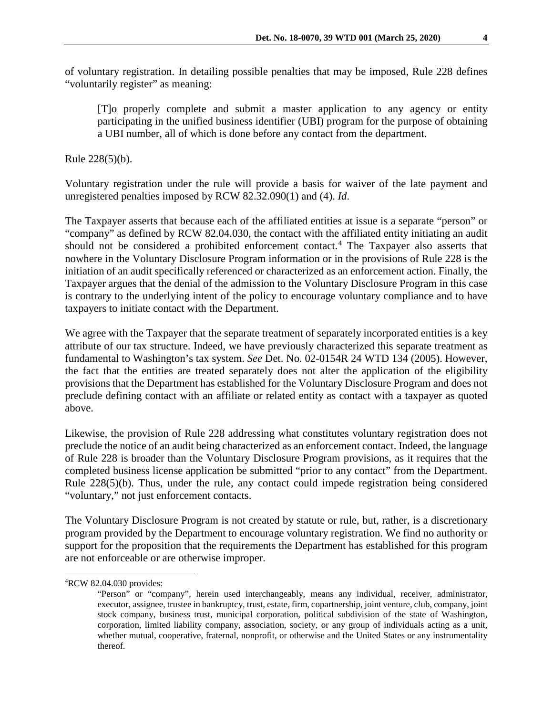of voluntary registration. In detailing possible penalties that may be imposed, Rule 228 defines "voluntarily register" as meaning:

[T]o properly complete and submit a master application to any agency or entity participating in the unified business identifier (UBI) program for the purpose of obtaining a UBI number, all of which is done before any contact from the department.

Rule 228(5)(b).

Voluntary registration under the rule will provide a basis for waiver of the late payment and unregistered penalties imposed by RCW 82.32.090(1) and (4). *Id*.

The Taxpayer asserts that because each of the affiliated entities at issue is a separate "person" or "company" as defined by RCW 82.04.030, the contact with the affiliated entity initiating an audit should not be considered a prohibited enforcement contact.[4](#page-3-0) The Taxpayer also asserts that nowhere in the Voluntary Disclosure Program information or in the provisions of Rule 228 is the initiation of an audit specifically referenced or characterized as an enforcement action. Finally, the Taxpayer argues that the denial of the admission to the Voluntary Disclosure Program in this case is contrary to the underlying intent of the policy to encourage voluntary compliance and to have taxpayers to initiate contact with the Department.

We agree with the Taxpayer that the separate treatment of separately incorporated entities is a key attribute of our tax structure. Indeed, we have previously characterized this separate treatment as fundamental to Washington's tax system. *See* Det. No. 02-0154R 24 WTD 134 (2005). However, the fact that the entities are treated separately does not alter the application of the eligibility provisions that the Department has established for the Voluntary Disclosure Program and does not preclude defining contact with an affiliate or related entity as contact with a taxpayer as quoted above.

Likewise, the provision of Rule 228 addressing what constitutes voluntary registration does not preclude the notice of an audit being characterized as an enforcement contact. Indeed, the language of Rule 228 is broader than the Voluntary Disclosure Program provisions, as it requires that the completed business license application be submitted "prior to any contact" from the Department. Rule 228(5)(b). Thus, under the rule, any contact could impede registration being considered "voluntary," not just enforcement contacts.

The Voluntary Disclosure Program is not created by statute or rule, but, rather, is a discretionary program provided by the Department to encourage voluntary registration. We find no authority or support for the proposition that the requirements the Department has established for this program are not enforceable or are otherwise improper.

<span id="page-3-0"></span> $\frac{1}{4}$ RCW 82.04.030 provides:

<sup>&</sup>quot;Person" or "company", herein used interchangeably, means any individual, receiver, administrator, executor, assignee, trustee in bankruptcy, trust, estate, firm, copartnership, joint venture, club, company, joint stock company, business trust, municipal corporation, political subdivision of the state of Washington, corporation, limited liability company, association, society, or any group of individuals acting as a unit, whether mutual, cooperative, fraternal, nonprofit, or otherwise and the United States or any instrumentality thereof.